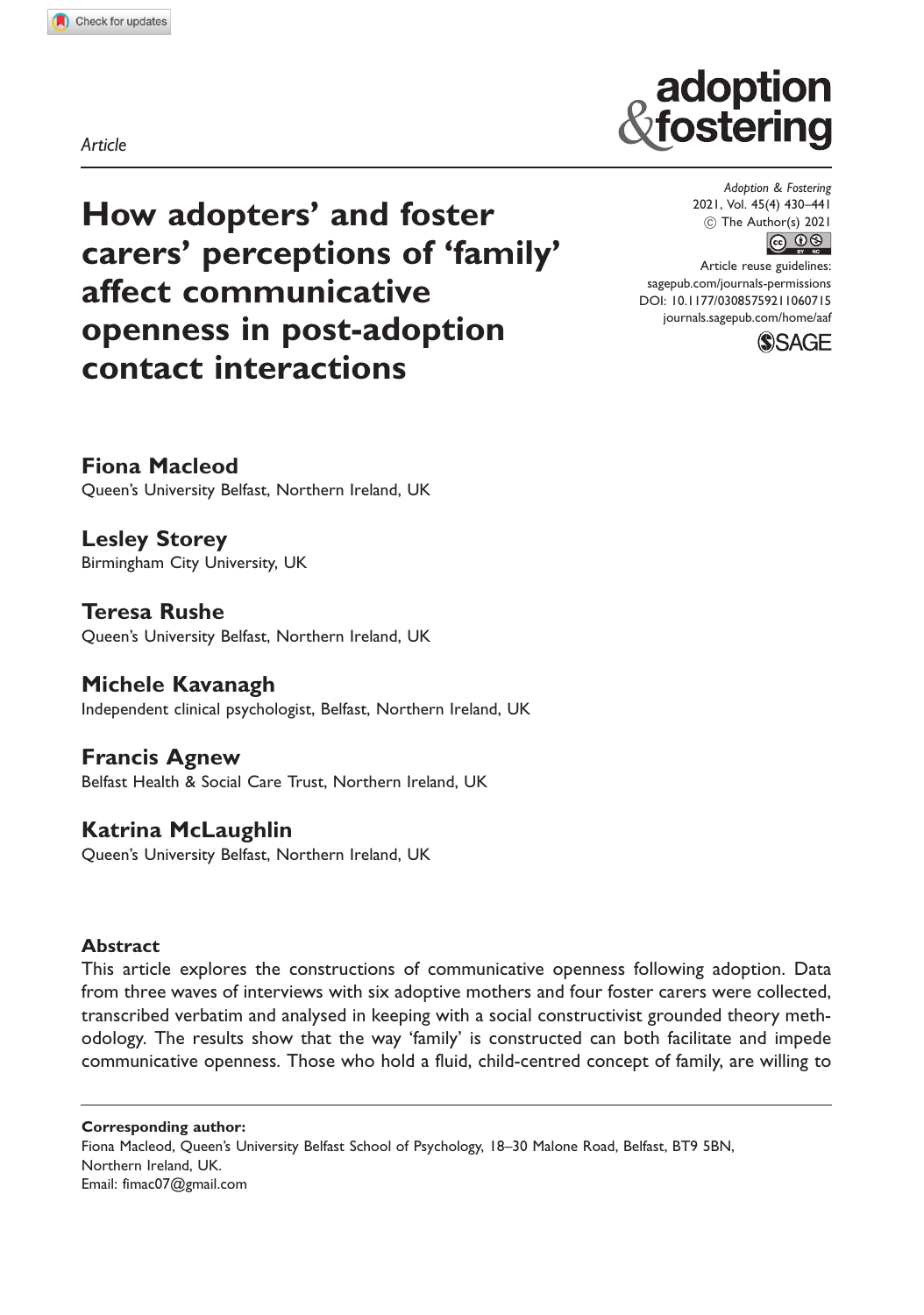Article

# How adopters' and foster carers' perceptions of 'family' affect communicative openness in post-adoption contact interactions

Adoption & Fostering 2021, Vol. 45(4) 430–441  $\circledcirc$  The Author(s) 2021  $\circledcirc$   $\circledcirc$ 

adoption fostering

Article reuse guidelines: [sagepub.com/journals-permissions](http://uk.sagepub.com/en-gb/journals-permissions) [DOI: 10.1177/03085759211060715](http://dx.doi.org/10.1177/03085759211060715) <journals.sagepub.com/home/aaf>



Fiona Macleod Queen's University Belfast, Northern Ireland, UK

Lesley Storey Birmingham City University, UK

Teresa Rushe Queen's University Belfast, Northern Ireland, UK

Michele Kavanagh Independent clinical psychologist, Belfast, Northern Ireland, UK

Francis Agnew Belfast Health & Social Care Trust, Northern Ireland, UK

## Katrina McLaughlin

Queen's University Belfast, Northern Ireland, UK

## Abstract

This article explores the constructions of communicative openness following adoption. Data from three waves of interviews with six adoptive mothers and four foster carers were collected, transcribed verbatim and analysed in keeping with a social constructivist grounded theory methodology. The results show that the way 'family' is constructed can both facilitate and impede communicative openness. Those who hold a fluid, child-centred concept of family, are willing to

Corresponding author: Fiona Macleod, Queen's University Belfast School of Psychology, 18–30 Malone Road, Belfast, BT9 5BN, Northern Ireland, UK. Email: [fimac07@gmail.com](mailto:fimac07@gmail.com)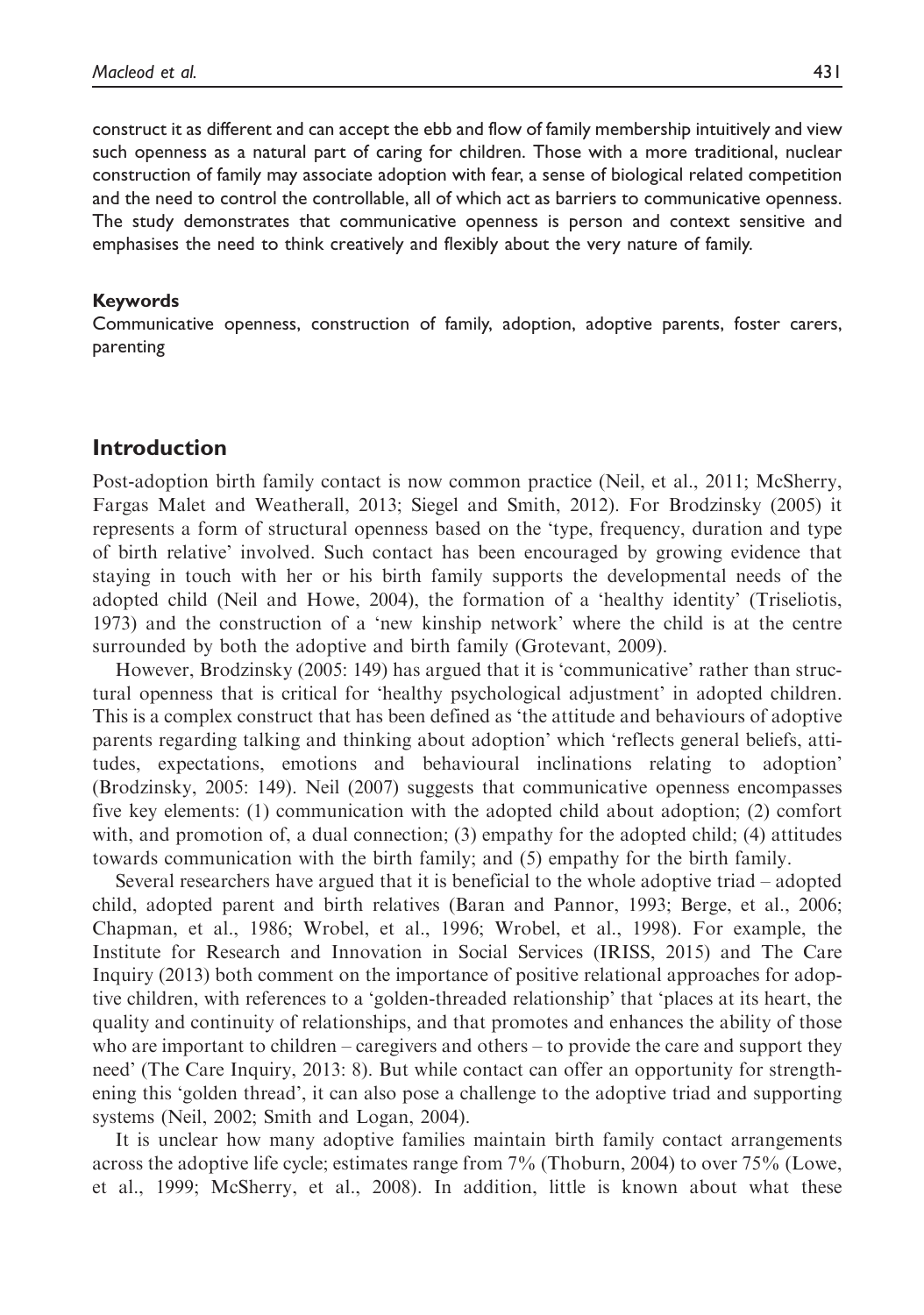construct it as different and can accept the ebb and flow of family membership intuitively and view such openness as a natural part of caring for children. Those with a more traditional, nuclear construction of family may associate adoption with fear, a sense of biological related competition and the need to control the controllable, all of which act as barriers to communicative openness. The study demonstrates that communicative openness is person and context sensitive and emphasises the need to think creatively and flexibly about the very nature of family.

#### Keywords

Communicative openness, construction of family, adoption, adoptive parents, foster carers, parenting

#### Introduction

Post-adoption birth family contact is now common practice (Neil, et al., 2011; McSherry, Fargas Malet and Weatherall, 2013; Siegel and Smith, 2012). For Brodzinsky (2005) it represents a form of structural openness based on the 'type, frequency, duration and type of birth relative' involved. Such contact has been encouraged by growing evidence that staying in touch with her or his birth family supports the developmental needs of the adopted child (Neil and Howe, 2004), the formation of a 'healthy identity' (Triseliotis, 1973) and the construction of a 'new kinship network' where the child is at the centre surrounded by both the adoptive and birth family (Grotevant, 2009).

However, Brodzinsky (2005: 149) has argued that it is 'communicative' rather than structural openness that is critical for 'healthy psychological adjustment' in adopted children. This is a complex construct that has been defined as 'the attitude and behaviours of adoptive parents regarding talking and thinking about adoption' which 'reflects general beliefs, attitudes, expectations, emotions and behavioural inclinations relating to adoption' (Brodzinsky, 2005: 149). Neil (2007) suggests that communicative openness encompasses five key elements: (1) communication with the adopted child about adoption; (2) comfort with, and promotion of, a dual connection; (3) empathy for the adopted child; (4) attitudes towards communication with the birth family; and (5) empathy for the birth family.

Several researchers have argued that it is beneficial to the whole adoptive triad – adopted child, adopted parent and birth relatives (Baran and Pannor, 1993; Berge, et al., 2006; Chapman, et al., 1986; Wrobel, et al., 1996; Wrobel, et al., 1998). For example, the Institute for Research and Innovation in Social Services (IRISS, 2015) and The Care Inquiry (2013) both comment on the importance of positive relational approaches for adoptive children, with references to a 'golden-threaded relationship' that 'places at its heart, the quality and continuity of relationships, and that promotes and enhances the ability of those who are important to children – caregivers and others – to provide the care and support they need' (The Care Inquiry, 2013: 8). But while contact can offer an opportunity for strengthening this 'golden thread', it can also pose a challenge to the adoptive triad and supporting systems (Neil, 2002; Smith and Logan, 2004).

It is unclear how many adoptive families maintain birth family contact arrangements across the adoptive life cycle; estimates range from 7% (Thoburn, 2004) to over 75% (Lowe, et al., 1999; McSherry, et al., 2008). In addition, little is known about what these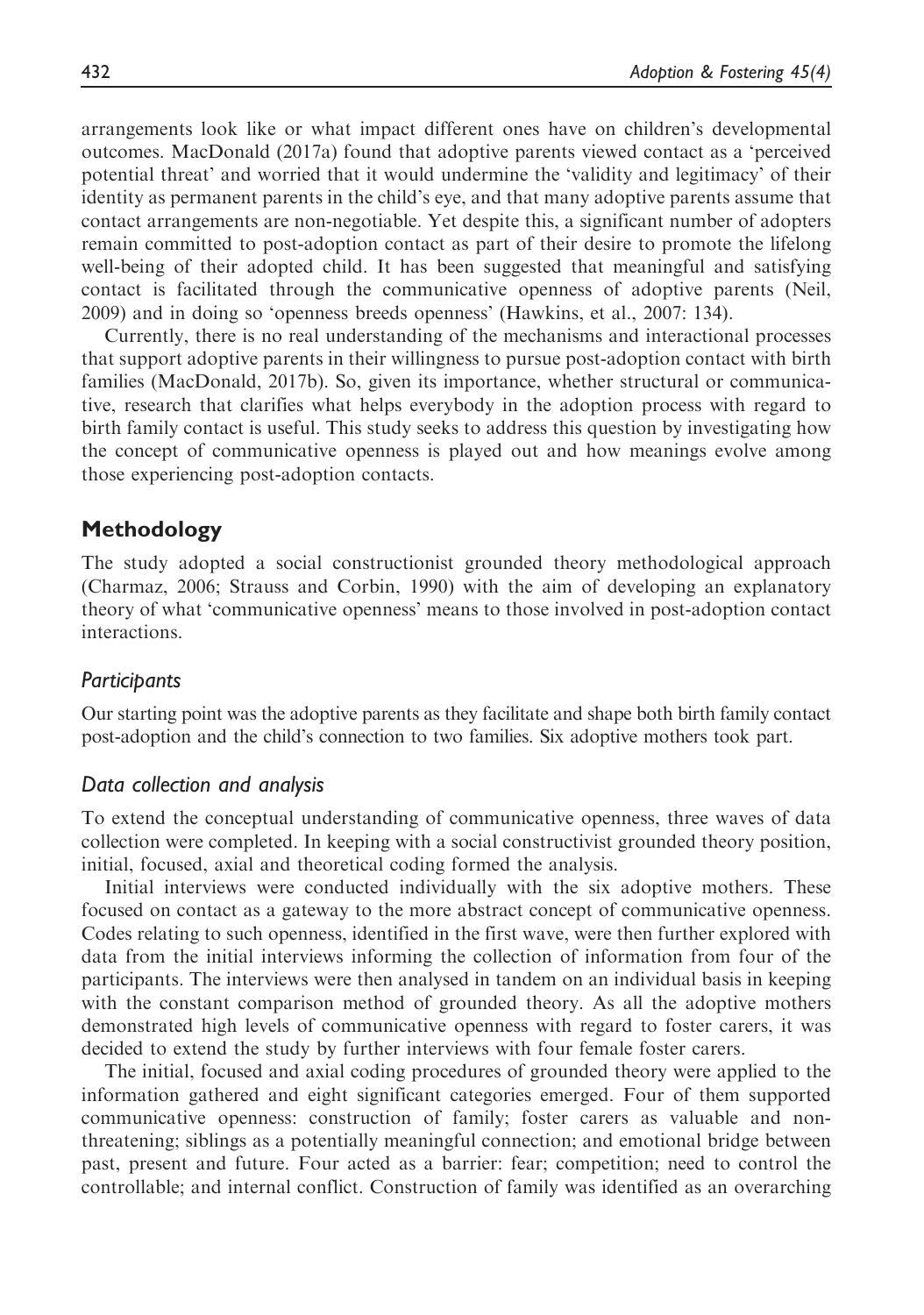arrangements look like or what impact different ones have on children's developmental outcomes. MacDonald (2017a) found that adoptive parents viewed contact as a 'perceived potential threat' and worried that it would undermine the 'validity and legitimacy' of their identity as permanent parents in the child's eye, and that many adoptive parents assume that contact arrangements are non-negotiable. Yet despite this, a significant number of adopters remain committed to post-adoption contact as part of their desire to promote the lifelong well-being of their adopted child. It has been suggested that meaningful and satisfying contact is facilitated through the communicative openness of adoptive parents (Neil, 2009) and in doing so 'openness breeds openness' (Hawkins, et al., 2007: 134).

Currently, there is no real understanding of the mechanisms and interactional processes that support adoptive parents in their willingness to pursue post-adoption contact with birth families (MacDonald, 2017b). So, given its importance, whether structural or communicative, research that clarifies what helps everybody in the adoption process with regard to birth family contact is useful. This study seeks to address this question by investigating how the concept of communicative openness is played out and how meanings evolve among those experiencing post-adoption contacts.

#### Methodology

The study adopted a social constructionist grounded theory methodological approach (Charmaz, 2006; Strauss and Corbin, 1990) with the aim of developing an explanatory theory of what 'communicative openness' means to those involved in post-adoption contact interactions.

#### **Participants**

Our starting point was the adoptive parents as they facilitate and shape both birth family contact post-adoption and the child's connection to two families. Six adoptive mothers took part.

#### Data collection and analysis

To extend the conceptual understanding of communicative openness, three waves of data collection were completed. In keeping with a social constructivist grounded theory position, initial, focused, axial and theoretical coding formed the analysis.

Initial interviews were conducted individually with the six adoptive mothers. These focused on contact as a gateway to the more abstract concept of communicative openness. Codes relating to such openness, identified in the first wave, were then further explored with data from the initial interviews informing the collection of information from four of the participants. The interviews were then analysed in tandem on an individual basis in keeping with the constant comparison method of grounded theory. As all the adoptive mothers demonstrated high levels of communicative openness with regard to foster carers, it was decided to extend the study by further interviews with four female foster carers.

The initial, focused and axial coding procedures of grounded theory were applied to the information gathered and eight significant categories emerged. Four of them supported communicative openness: construction of family; foster carers as valuable and nonthreatening; siblings as a potentially meaningful connection; and emotional bridge between past, present and future. Four acted as a barrier: fear; competition; need to control the controllable; and internal conflict. Construction of family was identified as an overarching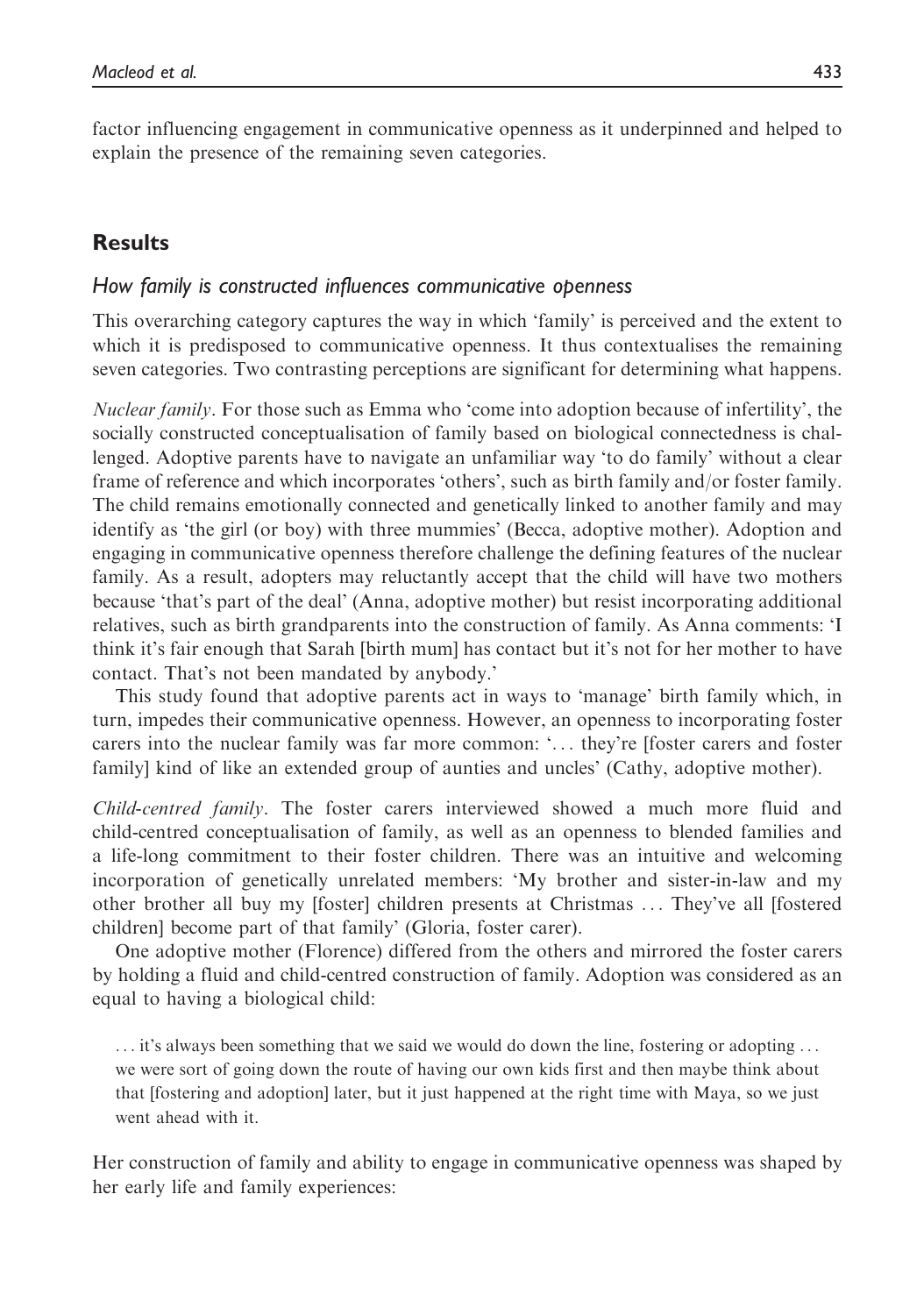factor influencing engagement in communicative openness as it underpinned and helped to explain the presence of the remaining seven categories.

## Results

## How family is constructed influences communicative openness

This overarching category captures the way in which 'family' is perceived and the extent to which it is predisposed to communicative openness. It thus contextualises the remaining seven categories. Two contrasting perceptions are significant for determining what happens.

Nuclear family. For those such as Emma who 'come into adoption because of infertility', the socially constructed conceptualisation of family based on biological connectedness is challenged. Adoptive parents have to navigate an unfamiliar way 'to do family' without a clear frame of reference and which incorporates 'others', such as birth family and/or foster family. The child remains emotionally connected and genetically linked to another family and may identify as 'the girl (or boy) with three mummies' (Becca, adoptive mother). Adoption and engaging in communicative openness therefore challenge the defining features of the nuclear family. As a result, adopters may reluctantly accept that the child will have two mothers because 'that's part of the deal' (Anna, adoptive mother) but resist incorporating additional relatives, such as birth grandparents into the construction of family. As Anna comments: 'I think it's fair enough that Sarah [birth mum] has contact but it's not for her mother to have contact. That's not been mandated by anybody.'

This study found that adoptive parents act in ways to 'manage' birth family which, in turn, impedes their communicative openness. However, an openness to incorporating foster carers into the nuclear family was far more common: '... they're [foster carers and foster family] kind of like an extended group of aunties and uncles' (Cathy, adoptive mother).

Child-centred family. The foster carers interviewed showed a much more fluid and child-centred conceptualisation of family, as well as an openness to blended families and a life-long commitment to their foster children. There was an intuitive and welcoming incorporation of genetically unrelated members: 'My brother and sister-in-law and my other brother all buy my [foster] children presents at Christmas ... They've all [fostered children] become part of that family' (Gloria, foster carer).

One adoptive mother (Florence) differed from the others and mirrored the foster carers by holding a fluid and child-centred construction of family. Adoption was considered as an equal to having a biological child:

... it's always been something that we said we would do down the line, fostering or adopting ... we were sort of going down the route of having our own kids first and then maybe think about that [fostering and adoption] later, but it just happened at the right time with Maya, so we just went ahead with it.

Her construction of family and ability to engage in communicative openness was shaped by her early life and family experiences: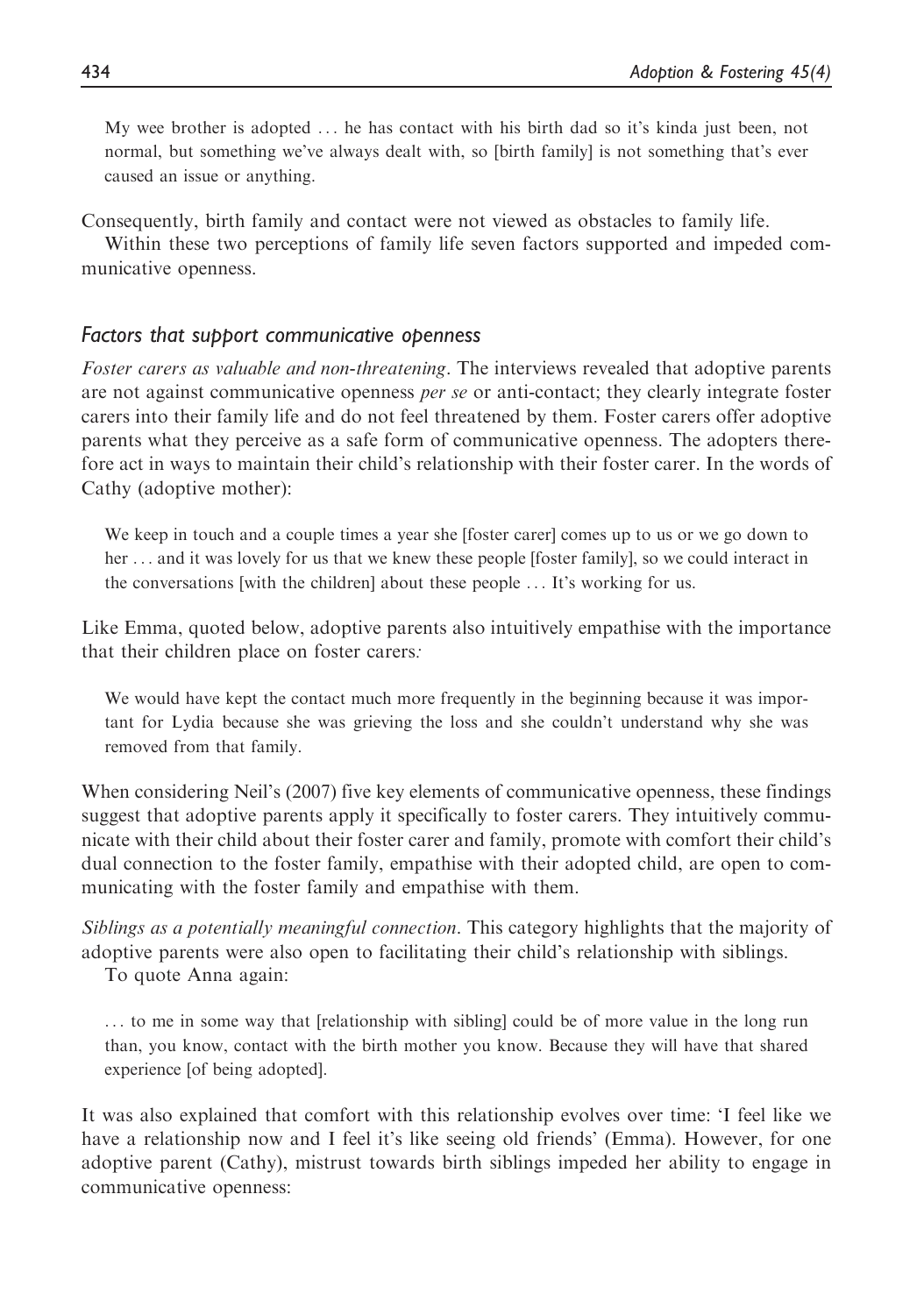My wee brother is adopted ... he has contact with his birth dad so it's kinda just been, not normal, but something we've always dealt with, so [birth family] is not something that's ever caused an issue or anything.

Consequently, birth family and contact were not viewed as obstacles to family life.

Within these two perceptions of family life seven factors supported and impeded communicative openness.

## Factors that support communicative openness

Foster carers as valuable and non-threatening. The interviews revealed that adoptive parents are not against communicative openness per se or anti-contact; they clearly integrate foster carers into their family life and do not feel threatened by them. Foster carers offer adoptive parents what they perceive as a safe form of communicative openness. The adopters therefore act in ways to maintain their child's relationship with their foster carer. In the words of Cathy (adoptive mother):

We keep in touch and a couple times a year she [foster carer] comes up to us or we go down to her ... and it was lovely for us that we knew these people [foster family], so we could interact in the conversations [with the children] about these people ... It's working for us.

Like Emma, quoted below, adoptive parents also intuitively empathise with the importance that their children place on foster carers:

We would have kept the contact much more frequently in the beginning because it was important for Lydia because she was grieving the loss and she couldn't understand why she was removed from that family.

When considering Neil's (2007) five key elements of communicative openness, these findings suggest that adoptive parents apply it specifically to foster carers. They intuitively communicate with their child about their foster carer and family, promote with comfort their child's dual connection to the foster family, empathise with their adopted child, are open to communicating with the foster family and empathise with them.

Siblings as a potentially meaningful connection. This category highlights that the majority of adoptive parents were also open to facilitating their child's relationship with siblings.

To quote Anna again:

... to me in some way that [relationship with sibling] could be of more value in the long run than, you know, contact with the birth mother you know. Because they will have that shared experience [of being adopted].

It was also explained that comfort with this relationship evolves over time: 'I feel like we have a relationship now and I feel it's like seeing old friends' (Emma). However, for one adoptive parent (Cathy), mistrust towards birth siblings impeded her ability to engage in communicative openness: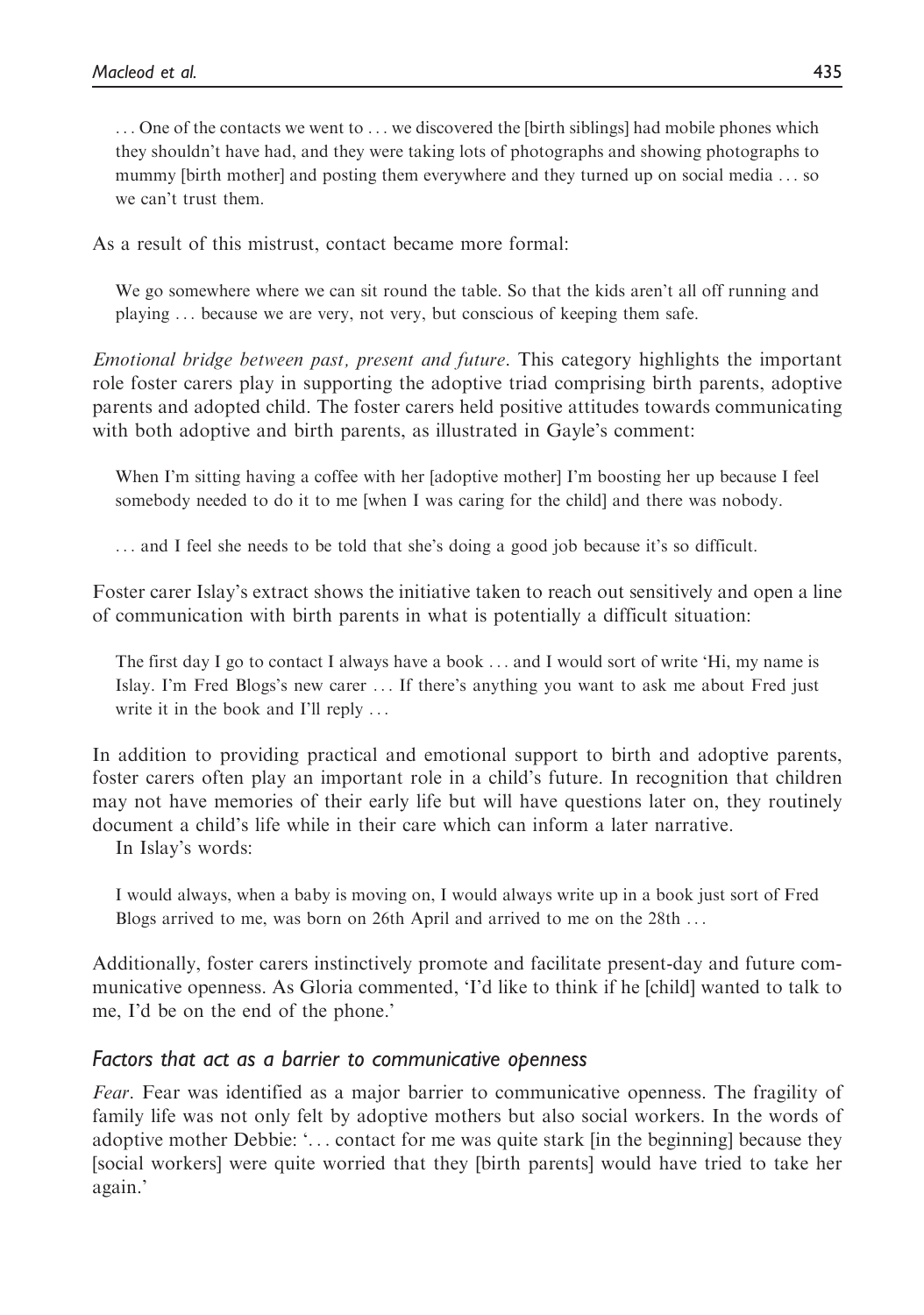... One of the contacts we went to ... we discovered the [birth siblings] had mobile phones which they shouldn't have had, and they were taking lots of photographs and showing photographs to mummy [birth mother] and posting them everywhere and they turned up on social media ... so we can't trust them.

As a result of this mistrust, contact became more formal:

We go somewhere where we can sit round the table. So that the kids aren't all off running and playing ... because we are very, not very, but conscious of keeping them safe.

Emotional bridge between past, present and future. This category highlights the important role foster carers play in supporting the adoptive triad comprising birth parents, adoptive parents and adopted child. The foster carers held positive attitudes towards communicating with both adoptive and birth parents, as illustrated in Gayle's comment:

When I'm sitting having a coffee with her [adoptive mother] I'm boosting her up because I feel somebody needed to do it to me [when I was caring for the child] and there was nobody.

... and I feel she needs to be told that she's doing a good job because it's so difficult.

Foster carer Islay's extract shows the initiative taken to reach out sensitively and open a line of communication with birth parents in what is potentially a difficult situation:

The first day I go to contact I always have a book ... and I would sort of write 'Hi, my name is Islay. I'm Fred Blogs's new carer ... If there's anything you want to ask me about Fred just write it in the book and I'll reply ...

In addition to providing practical and emotional support to birth and adoptive parents, foster carers often play an important role in a child's future. In recognition that children may not have memories of their early life but will have questions later on, they routinely document a child's life while in their care which can inform a later narrative.

In Islay's words:

I would always, when a baby is moving on, I would always write up in a book just sort of Fred Blogs arrived to me, was born on 26th April and arrived to me on the 28th ...

Additionally, foster carers instinctively promote and facilitate present-day and future communicative openness. As Gloria commented, 'I'd like to think if he [child] wanted to talk to me, I'd be on the end of the phone.'

## Factors that act as a barrier to communicative openness

Fear. Fear was identified as a major barrier to communicative openness. The fragility of family life was not only felt by adoptive mothers but also social workers. In the words of adoptive mother Debbie: '... contact for me was quite stark [in the beginning] because they [social workers] were quite worried that they [birth parents] would have tried to take her again.'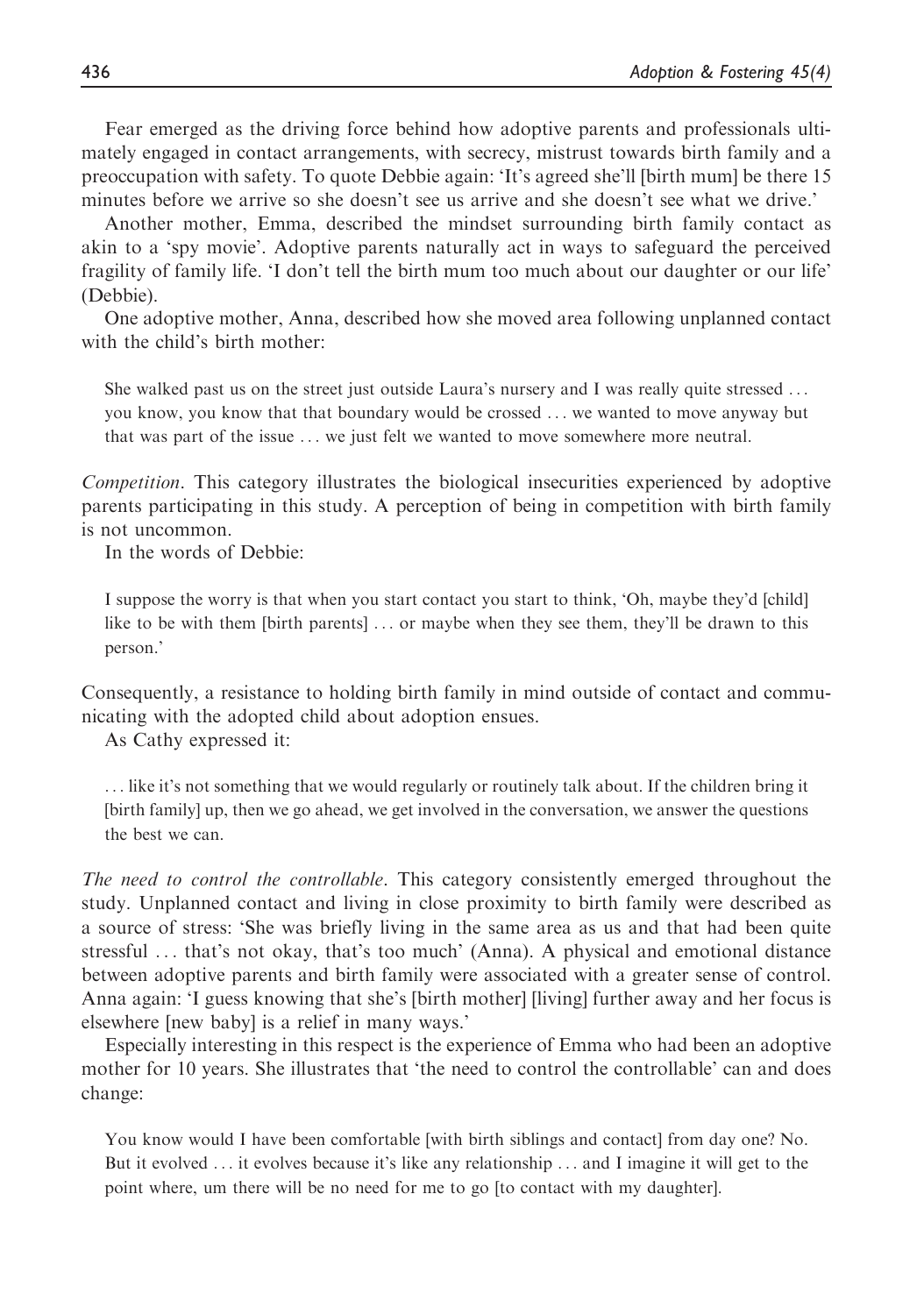Fear emerged as the driving force behind how adoptive parents and professionals ultimately engaged in contact arrangements, with secrecy, mistrust towards birth family and a preoccupation with safety. To quote Debbie again: 'It's agreed she'll [birth mum] be there 15 minutes before we arrive so she doesn't see us arrive and she doesn't see what we drive.'

Another mother, Emma, described the mindset surrounding birth family contact as akin to a 'spy movie'. Adoptive parents naturally act in ways to safeguard the perceived fragility of family life. 'I don't tell the birth mum too much about our daughter or our life' (Debbie).

One adoptive mother, Anna, described how she moved area following unplanned contact with the child's birth mother:

She walked past us on the street just outside Laura's nursery and I was really quite stressed ... you know, you know that that boundary would be crossed ... we wanted to move anyway but that was part of the issue ... we just felt we wanted to move somewhere more neutral.

Competition. This category illustrates the biological insecurities experienced by adoptive parents participating in this study. A perception of being in competition with birth family is not uncommon.

In the words of Debbie:

I suppose the worry is that when you start contact you start to think, 'Oh, maybe they'd [child] like to be with them [birth parents] ... or maybe when they see them, they'll be drawn to this person.'

Consequently, a resistance to holding birth family in mind outside of contact and communicating with the adopted child about adoption ensues.

As Cathy expressed it:

... like it's not something that we would regularly or routinely talk about. If the children bring it [birth family] up, then we go ahead, we get involved in the conversation, we answer the questions the best we can.

The need to control the controllable. This category consistently emerged throughout the study. Unplanned contact and living in close proximity to birth family were described as a source of stress: 'She was briefly living in the same area as us and that had been quite stressful ... that's not okay, that's too much' (Anna). A physical and emotional distance between adoptive parents and birth family were associated with a greater sense of control. Anna again: 'I guess knowing that she's [birth mother] [living] further away and her focus is elsewhere [new baby] is a relief in many ways.'

Especially interesting in this respect is the experience of Emma who had been an adoptive mother for 10 years. She illustrates that 'the need to control the controllable' can and does change:

You know would I have been comfortable [with birth siblings and contact] from day one? No. But it evolved ... it evolves because it's like any relationship ... and I imagine it will get to the point where, um there will be no need for me to go [to contact with my daughter].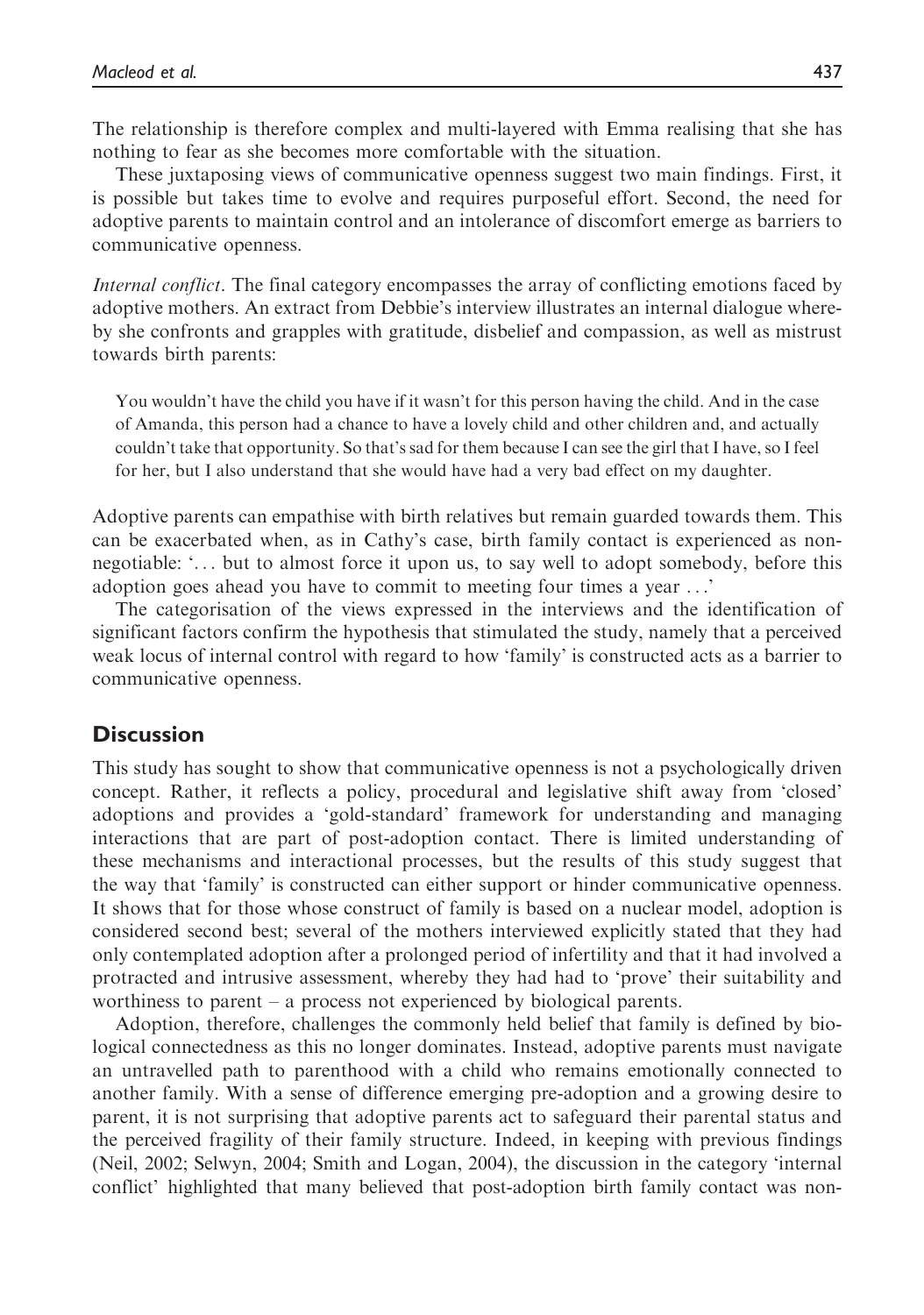The relationship is therefore complex and multi-layered with Emma realising that she has nothing to fear as she becomes more comfortable with the situation.

These juxtaposing views of communicative openness suggest two main findings. First, it is possible but takes time to evolve and requires purposeful effort. Second, the need for adoptive parents to maintain control and an intolerance of discomfort emerge as barriers to communicative openness.

Internal conflict. The final category encompasses the array of conflicting emotions faced by adoptive mothers. An extract from Debbie's interview illustrates an internal dialogue whereby she confronts and grapples with gratitude, disbelief and compassion, as well as mistrust towards birth parents:

You wouldn't have the child you have if it wasn't for this person having the child. And in the case of Amanda, this person had a chance to have a lovely child and other children and, and actually couldn't take that opportunity. So that's sad for them because I can see the girl that I have, so I feel for her, but I also understand that she would have had a very bad effect on my daughter.

Adoptive parents can empathise with birth relatives but remain guarded towards them. This can be exacerbated when, as in Cathy's case, birth family contact is experienced as nonnegotiable: '... but to almost force it upon us, to say well to adopt somebody, before this adoption goes ahead you have to commit to meeting four times a year ...'

The categorisation of the views expressed in the interviews and the identification of significant factors confirm the hypothesis that stimulated the study, namely that a perceived weak locus of internal control with regard to how 'family' is constructed acts as a barrier to communicative openness.

#### **Discussion**

This study has sought to show that communicative openness is not a psychologically driven concept. Rather, it reflects a policy, procedural and legislative shift away from 'closed' adoptions and provides a 'gold-standard' framework for understanding and managing interactions that are part of post-adoption contact. There is limited understanding of these mechanisms and interactional processes, but the results of this study suggest that the way that 'family' is constructed can either support or hinder communicative openness. It shows that for those whose construct of family is based on a nuclear model, adoption is considered second best; several of the mothers interviewed explicitly stated that they had only contemplated adoption after a prolonged period of infertility and that it had involved a protracted and intrusive assessment, whereby they had had to 'prove' their suitability and worthiness to parent – a process not experienced by biological parents.

Adoption, therefore, challenges the commonly held belief that family is defined by biological connectedness as this no longer dominates. Instead, adoptive parents must navigate an untravelled path to parenthood with a child who remains emotionally connected to another family. With a sense of difference emerging pre-adoption and a growing desire to parent, it is not surprising that adoptive parents act to safeguard their parental status and the perceived fragility of their family structure. Indeed, in keeping with previous findings (Neil, 2002; Selwyn, 2004; Smith and Logan, 2004), the discussion in the category 'internal conflict' highlighted that many believed that post-adoption birth family contact was non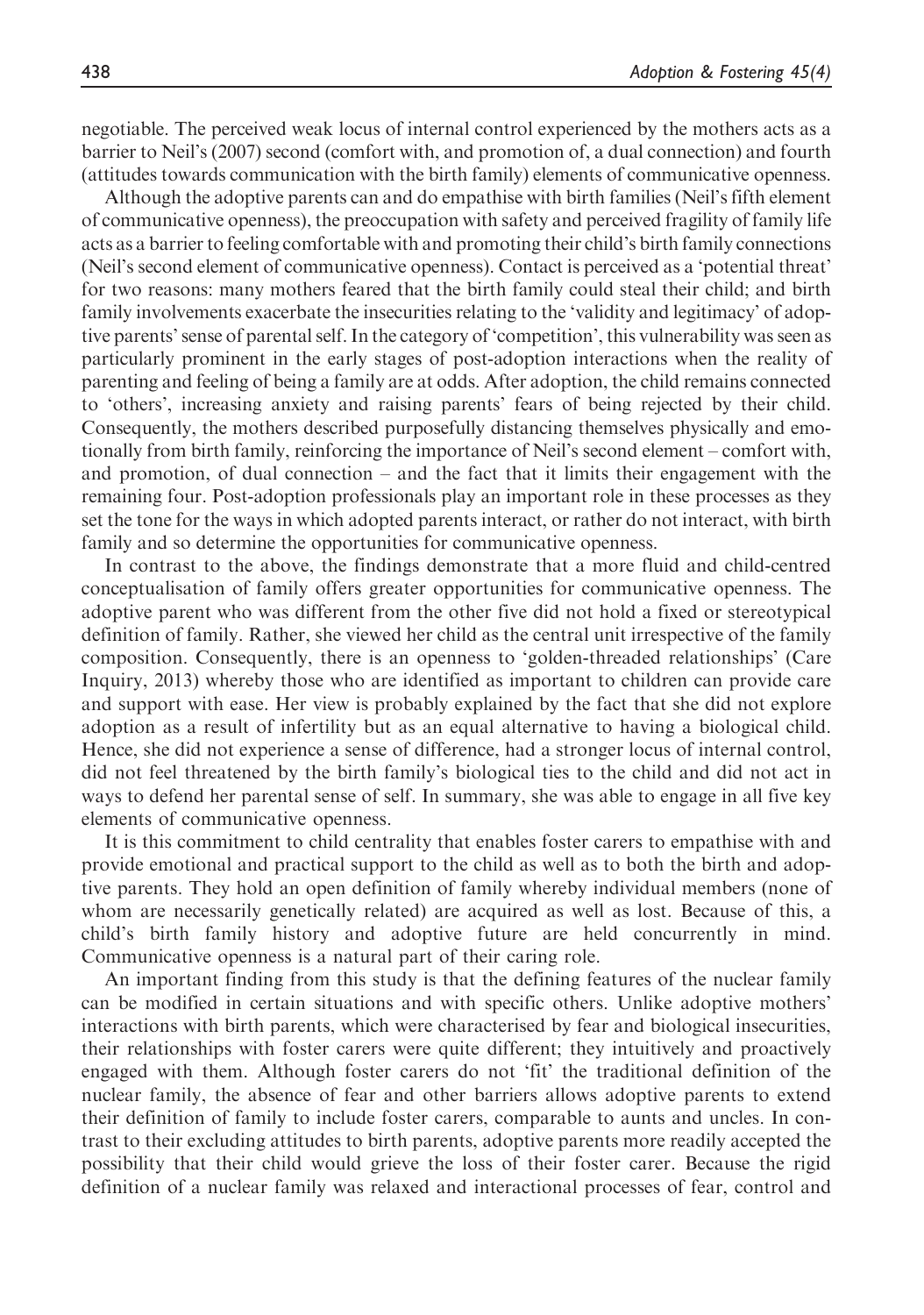negotiable. The perceived weak locus of internal control experienced by the mothers acts as a barrier to Neil's (2007) second (comfort with, and promotion of, a dual connection) and fourth (attitudes towards communication with the birth family) elements of communicative openness.

Although the adoptive parents can and do empathise with birth families (Neil's fifth element of communicative openness), the preoccupation with safety and perceived fragility of family life acts as a barrier to feeling comfortable with and promoting their child's birth family connections (Neil's second element of communicative openness). Contact is perceived as a 'potential threat' for two reasons: many mothers feared that the birth family could steal their child; and birth family involvements exacerbate the insecurities relating to the 'validity and legitimacy' of adoptive parents' sense of parental self. In the category of 'competition', this vulnerability was seen as particularly prominent in the early stages of post-adoption interactions when the reality of parenting and feeling of being a family are at odds. After adoption, the child remains connected to 'others', increasing anxiety and raising parents' fears of being rejected by their child. Consequently, the mothers described purposefully distancing themselves physically and emotionally from birth family, reinforcing the importance of Neil's second element – comfort with, and promotion, of dual connection  $-$  and the fact that it limits their engagement with the remaining four. Post-adoption professionals play an important role in these processes as they set the tone for the ways in which adopted parents interact, or rather do not interact, with birth family and so determine the opportunities for communicative openness.

In contrast to the above, the findings demonstrate that a more fluid and child-centred conceptualisation of family offers greater opportunities for communicative openness. The adoptive parent who was different from the other five did not hold a fixed or stereotypical definition of family. Rather, she viewed her child as the central unit irrespective of the family composition. Consequently, there is an openness to 'golden-threaded relationships' (Care Inquiry, 2013) whereby those who are identified as important to children can provide care and support with ease. Her view is probably explained by the fact that she did not explore adoption as a result of infertility but as an equal alternative to having a biological child. Hence, she did not experience a sense of difference, had a stronger locus of internal control, did not feel threatened by the birth family's biological ties to the child and did not act in ways to defend her parental sense of self. In summary, she was able to engage in all five key elements of communicative openness.

It is this commitment to child centrality that enables foster carers to empathise with and provide emotional and practical support to the child as well as to both the birth and adoptive parents. They hold an open definition of family whereby individual members (none of whom are necessarily genetically related) are acquired as well as lost. Because of this, a child's birth family history and adoptive future are held concurrently in mind. Communicative openness is a natural part of their caring role.

An important finding from this study is that the defining features of the nuclear family can be modified in certain situations and with specific others. Unlike adoptive mothers' interactions with birth parents, which were characterised by fear and biological insecurities, their relationships with foster carers were quite different; they intuitively and proactively engaged with them. Although foster carers do not 'fit' the traditional definition of the nuclear family, the absence of fear and other barriers allows adoptive parents to extend their definition of family to include foster carers, comparable to aunts and uncles. In contrast to their excluding attitudes to birth parents, adoptive parents more readily accepted the possibility that their child would grieve the loss of their foster carer. Because the rigid definition of a nuclear family was relaxed and interactional processes of fear, control and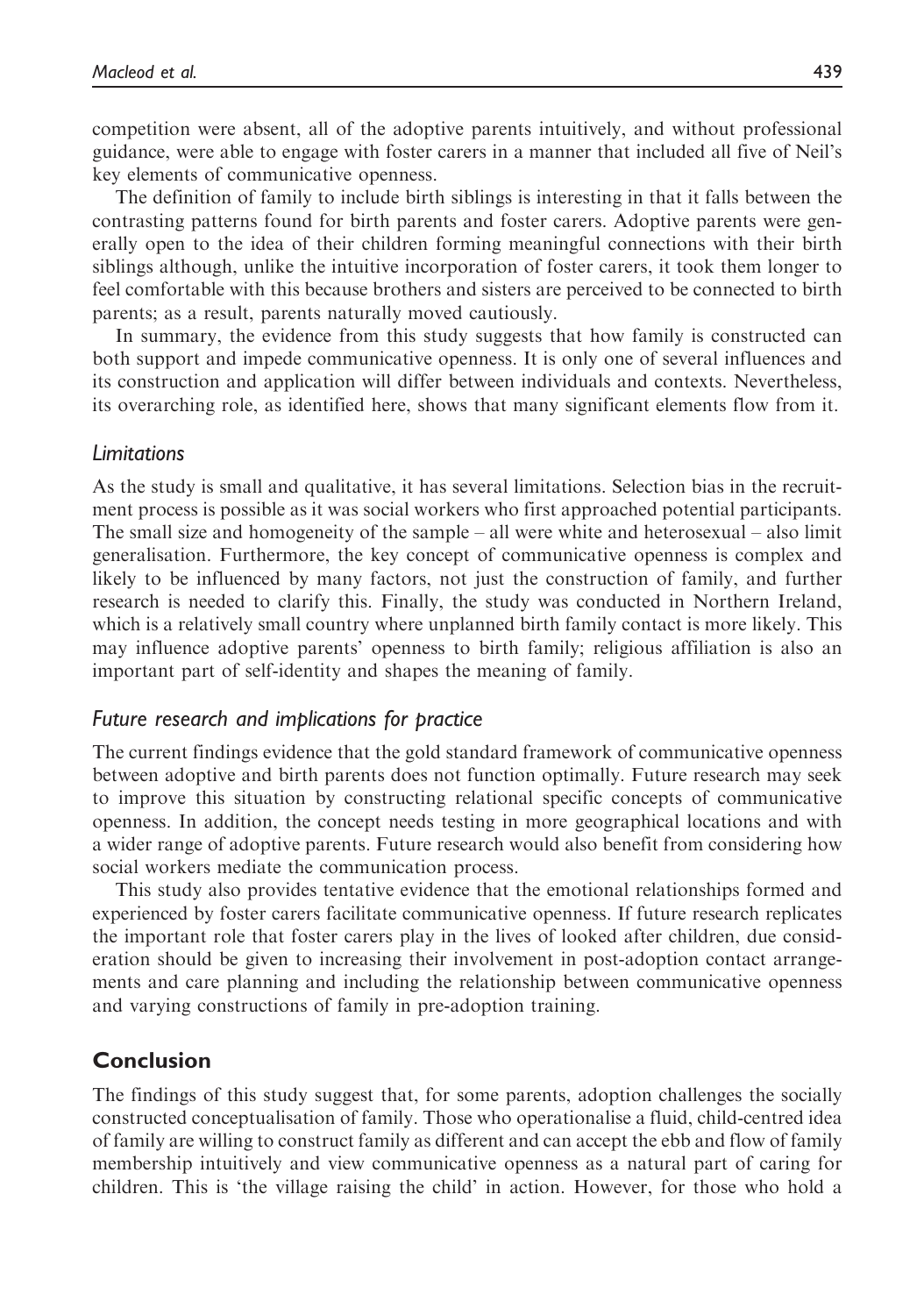competition were absent, all of the adoptive parents intuitively, and without professional guidance, were able to engage with foster carers in a manner that included all five of Neil's key elements of communicative openness.

The definition of family to include birth siblings is interesting in that it falls between the contrasting patterns found for birth parents and foster carers. Adoptive parents were generally open to the idea of their children forming meaningful connections with their birth siblings although, unlike the intuitive incorporation of foster carers, it took them longer to feel comfortable with this because brothers and sisters are perceived to be connected to birth parents; as a result, parents naturally moved cautiously.

In summary, the evidence from this study suggests that how family is constructed can both support and impede communicative openness. It is only one of several influences and its construction and application will differ between individuals and contexts. Nevertheless, its overarching role, as identified here, shows that many significant elements flow from it.

#### Limitations

As the study is small and qualitative, it has several limitations. Selection bias in the recruitment process is possible as it was social workers who first approached potential participants. The small size and homogeneity of the sample – all were white and heterosexual – also limit generalisation. Furthermore, the key concept of communicative openness is complex and likely to be influenced by many factors, not just the construction of family, and further research is needed to clarify this. Finally, the study was conducted in Northern Ireland, which is a relatively small country where unplanned birth family contact is more likely. This may influence adoptive parents' openness to birth family; religious affiliation is also an important part of self-identity and shapes the meaning of family.

#### Future research and implications for practice

The current findings evidence that the gold standard framework of communicative openness between adoptive and birth parents does not function optimally. Future research may seek to improve this situation by constructing relational specific concepts of communicative openness. In addition, the concept needs testing in more geographical locations and with a wider range of adoptive parents. Future research would also benefit from considering how social workers mediate the communication process.

This study also provides tentative evidence that the emotional relationships formed and experienced by foster carers facilitate communicative openness. If future research replicates the important role that foster carers play in the lives of looked after children, due consideration should be given to increasing their involvement in post-adoption contact arrangements and care planning and including the relationship between communicative openness and varying constructions of family in pre-adoption training.

## Conclusion

The findings of this study suggest that, for some parents, adoption challenges the socially constructed conceptualisation of family. Those who operationalise a fluid, child-centred idea of family are willing to construct family as different and can accept the ebb and flow of family membership intuitively and view communicative openness as a natural part of caring for children. This is 'the village raising the child' in action. However, for those who hold a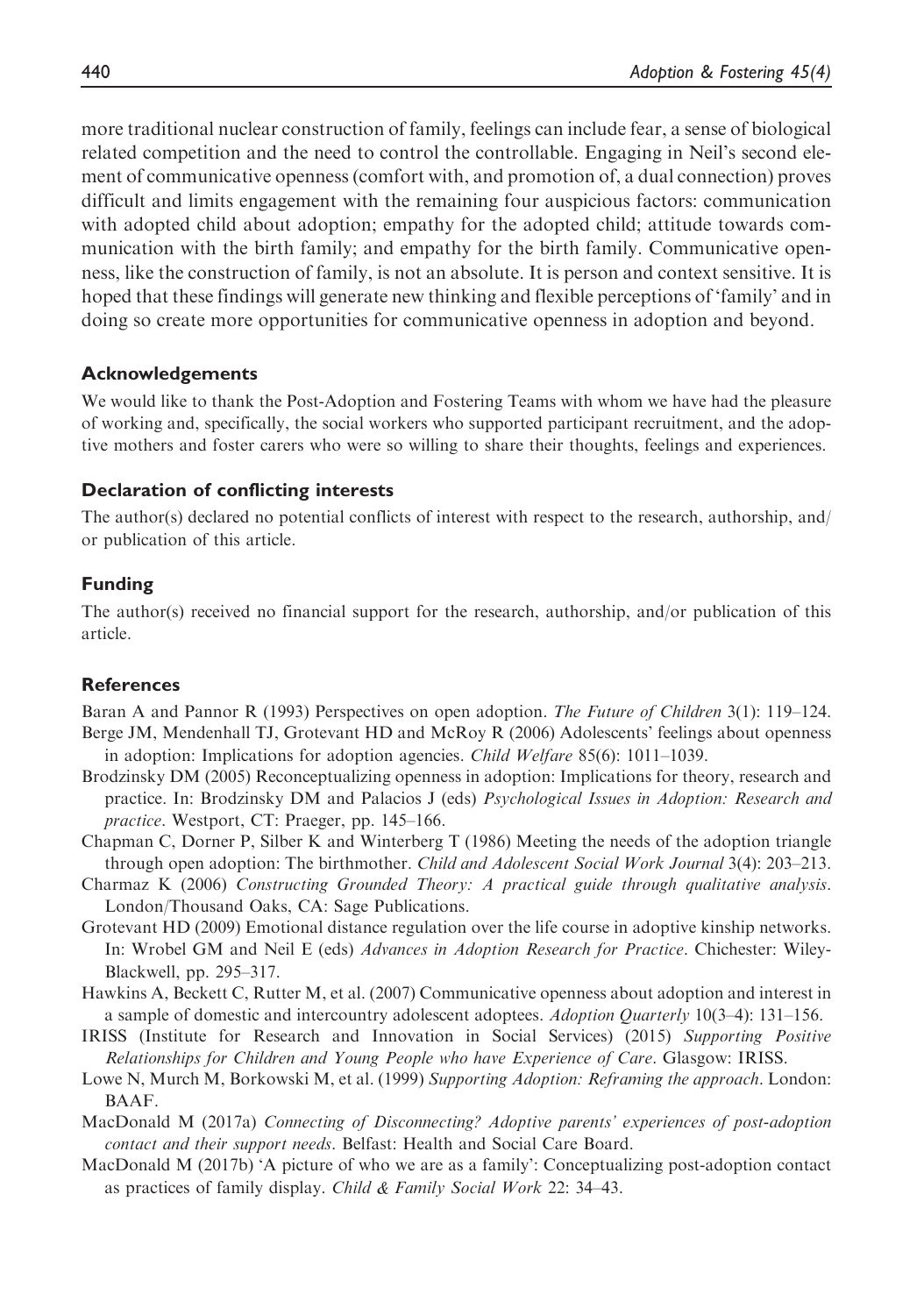more traditional nuclear construction of family, feelings can include fear, a sense of biological related competition and the need to control the controllable. Engaging in Neil's second element of communicative openness (comfort with, and promotion of, a dual connection) proves difficult and limits engagement with the remaining four auspicious factors: communication with adopted child about adoption; empathy for the adopted child; attitude towards communication with the birth family; and empathy for the birth family. Communicative openness, like the construction of family, is not an absolute. It is person and context sensitive. It is hoped that these findings will generate new thinking and flexible perceptions of 'family' and in doing so create more opportunities for communicative openness in adoption and beyond.

#### Acknowledgements

We would like to thank the Post-Adoption and Fostering Teams with whom we have had the pleasure of working and, specifically, the social workers who supported participant recruitment, and the adoptive mothers and foster carers who were so willing to share their thoughts, feelings and experiences.

#### Declaration of conflicting interests

The author(s) declared no potential conflicts of interest with respect to the research, authorship, and/ or publication of this article.

## Funding

The author(s) received no financial support for the research, authorship, and/or publication of this article.

#### References

Baran A and Pannor R (1993) Perspectives on open adoption. The Future of Children 3(1): 119–124. Berge JM, Mendenhall TJ, Grotevant HD and McRoy R (2006) Adolescents' feelings about openness

- in adoption: Implications for adoption agencies. Child Welfare 85(6): 1011–1039. Brodzinsky DM (2005) Reconceptualizing openness in adoption: Implications for theory, research and practice. In: Brodzinsky DM and Palacios J (eds) Psychological Issues in Adoption: Research and practice. Westport, CT: Praeger, pp. 145–166.
- Chapman C, Dorner P, Silber K and Winterberg T (1986) Meeting the needs of the adoption triangle through open adoption: The birthmother. Child and Adolescent Social Work Journal 3(4): 203–213.
- Charmaz K (2006) Constructing Grounded Theory: A practical guide through qualitative analysis. London/Thousand Oaks, CA: Sage Publications.
- Grotevant HD (2009) Emotional distance regulation over the life course in adoptive kinship networks. In: Wrobel GM and Neil E (eds) Advances in Adoption Research for Practice. Chichester: Wiley-Blackwell, pp. 295–317.
- Hawkins A, Beckett C, Rutter M, et al. (2007) Communicative openness about adoption and interest in a sample of domestic and intercountry adolescent adoptees. Adoption Quarterly 10(3–4): 131–156.
- IRISS (Institute for Research and Innovation in Social Services) (2015) Supporting Positive Relationships for Children and Young People who have Experience of Care. Glasgow: IRISS.
- Lowe N, Murch M, Borkowski M, et al. (1999) Supporting Adoption: Reframing the approach. London: BAAF.
- MacDonald M (2017a) Connecting of Disconnecting? Adoptive parents' experiences of post-adoption contact and their support needs. Belfast: Health and Social Care Board.
- MacDonald M (2017b) 'A picture of who we are as a family': Conceptualizing post-adoption contact as practices of family display. Child & Family Social Work 22: 34–43.